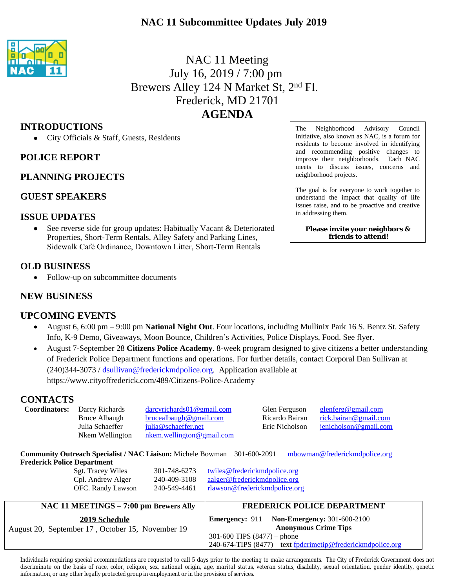## **NAC 11 Subcommittee Updates July 2019**



# NAC 11 Meeting July 16, 2019 / 7:00 pm Brewers Alley 124 N Market St, 2nd Fl. Frederick, MD 21701 **AGENDA**

### **INTRODUCTIONS**

City Officials & Staff, Guests, Residents

### **POLICE REPORT**

### **PLANNING PROJECTS**

### **GUEST SPEAKERS**

#### **ISSUE UPDATES**

 See reverse side for group updates: Habitually Vacant & Deteriorated Properties, Short-Term Rentals, Alley Safety and Parking Lines, Sidewalk Café Ordinance, Downtown Litter, Short-Term Rentals

### **OLD BUSINESS**

• Follow-up on subcommittee documents

### **NEW BUSINESS**

### **UPCOMING EVENTS**

- August 6, 6:00 pm 9:00 pm **National Night Out**. Four locations, including Mullinix Park 16 S. Bentz St. Safety Info, K-9 Demo, Giveaways, Moon Bounce, Children's Activities, Police Displays, Food. See flyer.
- August 7-September 28 **Citizens Police Academy**. 8-week program designed to give citizens a better understanding of Frederick Police Department functions and operations. For further details, contact Corporal Dan Sullivan at (240)344-3073 / [dsullivan@frederickmdpolice.org](mailto:dsullivan@frederickmdpolice.org). Application available at https://www.cityoffrederick.com/489/Citizens-Police-Academy

#### **CONTACTS**

| <b>Coordinators:</b>                                                                                             | Darcy Richards<br>Bruce Albaugh<br>Julia Schaeffer<br>Nkem Wellington | darcyrichards01@gmail.com<br>brucealbaugh@gmail.com<br>julia@schaeffer.net<br>nkem.wellington@gmail.com |                                                              | Glen Ferguson<br>Ricardo Bairan<br>Eric Nicholson | $g$ lenferg@gmail.com<br>rick.bairan@gmail.com<br>jenicholson@gmail.com |
|------------------------------------------------------------------------------------------------------------------|-----------------------------------------------------------------------|---------------------------------------------------------------------------------------------------------|--------------------------------------------------------------|---------------------------------------------------|-------------------------------------------------------------------------|
| <b>Community Outreach Specialist / NAC Liaison: Michele Bowman</b> 301-600-2091<br>mbowman@frederickmdpolice.org |                                                                       |                                                                                                         |                                                              |                                                   |                                                                         |
| <b>Frederick Police Department</b>                                                                               |                                                                       |                                                                                                         |                                                              |                                                   |                                                                         |
| <b>Sgt. Tracey Wiles</b><br>301-748-6273                                                                         |                                                                       |                                                                                                         | <u>twiles@frederickmdpolice.org</u>                          |                                                   |                                                                         |
|                                                                                                                  | Cpl. Andrew Alger                                                     | aalger@frederickmdpolice.org<br>240-409-3108                                                            |                                                              |                                                   |                                                                         |
|                                                                                                                  | OFC. Randy Lawson                                                     | 240-549-4461                                                                                            | rlawson@frederickmdpolice.org                                |                                                   |                                                                         |
| NAC 11 MEETINGS – 7:00 pm Brewers Ally                                                                           |                                                                       |                                                                                                         | <b>FREDERICK POLICE DEPARTMENT</b>                           |                                                   |                                                                         |
| 2019 Schedule                                                                                                    |                                                                       |                                                                                                         | <b>Emergency: 911</b>                                        |                                                   | <b>Non-Emergency: 301-600-2100</b>                                      |
| August 20, September 17, October 15, November 19                                                                 |                                                                       |                                                                                                         |                                                              | <b>Anonymous Crime Tips</b>                       |                                                                         |
|                                                                                                                  |                                                                       |                                                                                                         | 301-600 TIPS $(8477)$ – phone                                |                                                   |                                                                         |
|                                                                                                                  |                                                                       |                                                                                                         | 240-674-TIPS (8477) – text fpdcrimetip@frederickmdpolice.org |                                                   |                                                                         |

The Neighborhood Advisory Council Initiative, also known as NAC, is a forum for residents to become involved in identifying and recommending positive changes to improve their neighborhoods. Each NAC meets to discuss issues, concerns and neighborhood projects.

The goal is for everyone to work together to understand the impact that quality of life issues raise, and to be proactive and creative in addressing them.

**Please invite your neighbors & friends to attend!**

Individuals requiring special accommodations are requested to call 5 days prior to the meeting to make arrangements. The City of Frederick Government does not discriminate on the basis of race, color, religion, sex, national origin, age, marital status, veteran status, disability, sexual orientation, gender identity, genetic *information, or any other legally protected group in employment or in the provision of services.*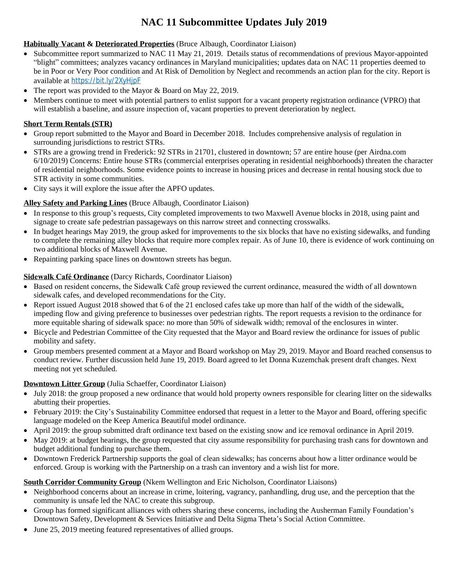# **NAC 11 Subcommittee Updates July 2019**

#### **Habitually Vacant & Deteriorated Properties** (Bruce Albaugh, Coordinator Liaison)

- Subcommittee report summarized to NAC 11 May 21, 2019. Details status of recommendations of previous Mayor-appointed "blight" committees; analyzes vacancy ordinances in Maryland municipalities; updates data on NAC 11 properties deemed to be in Poor or Very Poor condition and At Risk of Demolition by Neglect and recommends an action plan for the city. Report is available at [https://bit.ly/2XyHjpF](https://bit.ly/2XyHjpF?fbclid=IwAR1ygniNh9lzuM7wd_pgtLptuA9_GOnVUOHtJpedRN5phsW1DjbVS8GM2Wk)
- The report was provided to the Mayor & Board on May 22, 2019.
- Members continue to meet with potential partners to enlist support for a vacant property registration ordinance (VPRO) that will establish a baseline, and assure inspection of, vacant properties to prevent deterioration by neglect.

#### **Short Term Rentals (STR)**

- Group report submitted to the Mayor and Board in December 2018. Includes comprehensive analysis of regulation in surrounding jurisdictions to restrict STRs.
- STRs are a growing trend in Frederick: 92 STRs in 21701, clustered in downtown; 57 are entire house (per Airdna.com 6/10/2019) Concerns: Entire house STRs (commercial enterprises operating in residential neighborhoods) threaten the character of residential neighborhoods. Some evidence points to increase in housing prices and decrease in rental housing stock due to STR activity in some communities.
- City says it will explore the issue after the APFO updates.

#### **Alley Safety and Parking Lines** (Bruce Albaugh, Coordinator Liaison)

- In response to this group's requests, City completed improvements to two Maxwell Avenue blocks in 2018, using paint and signage to create safe pedestrian passageways on this narrow street and connecting crosswalks.
- In budget hearings May 2019, the group asked for improvements to the six blocks that have no existing sidewalks, and funding to complete the remaining alley blocks that require more complex repair. As of June 10, there is evidence of work continuing on two additional blocks of Maxwell Avenue.
- Repainting parking space lines on downtown streets has begun.

#### **Sidewalk Café Ordinance** (Darcy Richards, Coordinator Liaison)

- Based on resident concerns, the Sidewalk Café group reviewed the current ordinance, measured the width of all downtown sidewalk cafes, and developed recommendations for the City.
- Report issued August 2018 showed that 6 of the 21 enclosed cafes take up more than half of the width of the sidewalk, impeding flow and giving preference to businesses over pedestrian rights. The report requests a revision to the ordinance for more equitable sharing of sidewalk space: no more than 50% of sidewalk width; removal of the enclosures in winter.
- Bicycle and Pedestrian Committee of the City requested that the Mayor and Board review the ordinance for issues of public mobility and safety.
- Group members presented comment at a Mayor and Board workshop on May 29, 2019. Mayor and Board reached consensus to conduct review. Further discussion held June 19, 2019. Board agreed to let Donna Kuzemchak present draft changes. Next meeting not yet scheduled.

#### **Downtown Litter Group** (Julia Schaeffer, Coordinator Liaison)

- July 2018: the group proposed a new ordinance that would hold property owners responsible for clearing litter on the sidewalks abutting their properties.
- February 2019: the City's Sustainability Committee endorsed that request in a letter to the Mayor and Board, offering specific language modeled on the Keep America Beautiful model ordinance.
- April 2019: the group submitted draft ordinance text based on the existing snow and ice removal ordinance in April 2019.
- May 2019: at budget hearings, the group requested that city assume responsibility for purchasing trash cans for downtown and budget additional funding to purchase them.
- Downtown Frederick Partnership supports the goal of clean sidewalks; has concerns about how a litter ordinance would be enforced. Group is working with the Partnership on a trash can inventory and a wish list for more.

#### **South Corridor Community Group** (Nkem Wellington and Eric Nicholson, Coordinator Liaisons)

- Neighborhood concerns about an increase in crime, loitering, vagrancy, panhandling, drug use, and the perception that the community is unsafe led the NAC to create this subgroup.
- Group has formed significant alliances with others sharing these concerns, including the Ausherman Family Foundation's Downtown Safety, Development & Services Initiative and Delta Sigma Theta's Social Action Committee.
- June 25, 2019 meeting featured representatives of allied groups.